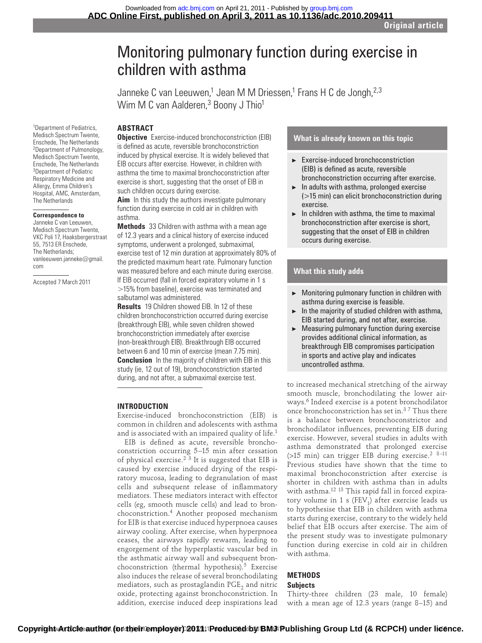# Monitoring pulmonary function during exercise in children with asthma

Janneke C van Leeuwen,<sup>1</sup> Jean M M Driessen,<sup>1</sup> Frans H C de Jongh,<sup>2,3</sup> Wim M C van Aalderen,<sup>3</sup> Boony J Thio<sup>1</sup>

## **ABSTRACT**

1 Department of Pediatrics, Medisch Spectrum Twente, Enschede, The Netherlands 2 Department of Pulmonology, Medisch Spectrum Twente, Enschede, The Netherlands 3 Department of Pediatric Respiratory Medicine and Allergy, Emma Children's Hospital, AMC, Amsterdam, The Netherlands

#### **Correspondence to**

 Janneke C van Leeuwen, Medisch Spectrum Twente, VKC Poli 17, Haaksbergerstraat 55, 7513 ER Enschede, The Netherlands; vanleeuwen.janneke@gmail. com

Accepted 7 March 2011

**Objective** Exercise-induced bronchoconstriction (EIB) is defined as acute, reversible bronchoconstriction induced by physical exercise. It is widely believed that EIB occurs after exercise. However, in children with asthma the time to maximal bronchoconstriction after exercise is short, suggesting that the onset of EIB in such children occurs during exercise.

**Aim** In this study the authors investigate pulmonary function during exercise in cold air in children with asthma.

 **Methods** 33 Children with asthma with a mean age of 12.3 years and a clinical history of exercise induced symptoms, underwent a prolonged, submaximal, exercise test of 12 min duration at approximately 80% of the predicted maximum heart rate. Pulmonary function was measured before and each minute during exercise. If EIB occurred (fall in forced expiratory volume in 1 s >15% from baseline), exercise was terminated and salbutamol was administered.

 **Results** 19 Children showed EIB. In 12 of these children bronchoconstriction occurred during exercise (breakthrough EIB), while seven children showed bronchoconstriction immediately after exercise ( non-breakthrough EIB). Breakthrough EIB occurred between 6 and 10 min of exercise (mean 7.75 min).  **Conclusion** In the majority of children with EIB in this study (ie, 12 out of 19), bronchoconstriction started during, and not after, a submaximal exercise test.

#### **INTRODUCTION**

Exercise-induced bronchoconstriction (EIB) is common in children and adolescents with asthma and is associated with an impaired quality of life.<sup>1</sup>

EIB is defined as acute, reversible bronchoconstriction occurring 5–15 min after cessation of physical exercise.<sup>23</sup> It is suggested that EIB is caused by exercise induced drying of the respiratory mucosa, leading to degranulation of mast cells and subsequent release of inflammatory mediators. These mediators interact with effector cells (eg, smooth muscle cells) and lead to bronchoconstriction. 4 Another proposed mechanism for EIB is that exercise induced hyperpnoea causes airway cooling. After exercise, when hyperpnoea ceases, the airways rapidly rewarm, leading to engorgement of the hyperplastic vascular bed in the asthmatic airway wall and subsequent bronchoconstriction (thermal hypothesis).<sup>5</sup> Exercise also induces the release of several bronchodilating mediators, such as prostaglandin  $PGE$ <sub>2</sub> and nitric oxide, protecting against bronchoconstriction. In addition, exercise induced deep inspirations lead

#### **What is already known on this topic**

- ▶ Exercise-induced bronchoconstriction (EIB) is defined as acute, reversible bronchoconstriction occurring after exercise.
- $\blacktriangleright$  In adults with asthma, prolonged exercise (>15 min) can elicit bronchoconstriction during exercise.
- $\blacktriangleright$  In children with asthma, the time to maximal bronchoconstriction after exercise is short, suggesting that the onset of EIB in children occurs during exercise.

#### **What this study adds**

- Monitoring pulmonary function in children with asthma during exercise is feasible.
- $\blacktriangleright$  In the majority of studied children with asthma, EIB started during, and not after, exercise.
- $\blacktriangleright$  Measuring pulmonary function during exercise provides additional clinical information, as breakthrough EIB compromises participation in sports and active play and indicates uncontrolled asthma.

to increased mechanical stretching of the airway smooth muscle, bronchodilating the lower airways. 6 Indeed exercise is a potent bronchodilator once bronchoconstriction has set in.<sup>37</sup> Thus there is a balance between bronchoconstrictor and bronchodilator influences, preventing EIB during exercise. However, several studies in adults with asthma demonstrated that prolonged exercise (>15 min) can trigger EIB during exercise.<sup>2 8-11</sup> Previous studies have shown that the time to maximal bronchoconstriction after exercise is shorter in children with asthma than in adults with asthma.<sup>12 13</sup> This rapid fall in forced expiratory volume in 1 s ( $FEV<sub>1</sub>$ ) after exercise leads us to hypothesise that EIB in children with asthma starts during exercise, contrary to the widely held belief that EIB occurs after exercise. The aim of the present study was to investigate pulmonary function during exercise in cold air in children with asthma.

# **METHODS**

# **Subjects**

Thirty-three children (23 male, 10 female) with a mean age of 12.3 years (range 8–15) and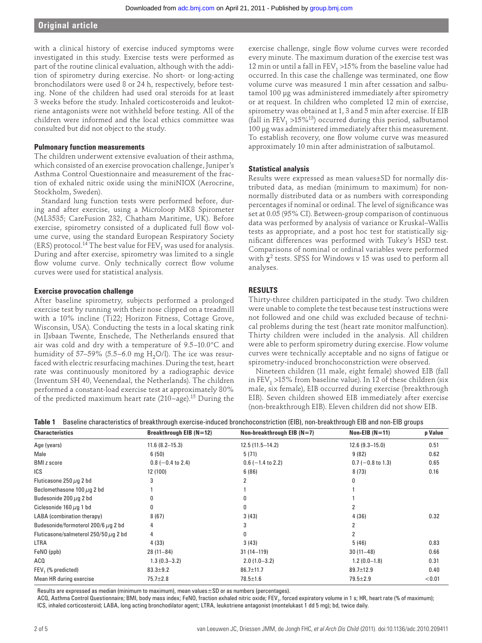with a clinical history of exercise induced symptoms were investigated in this study. Exercise tests were performed as part of the routine clinical evaluation, although with the addition of spirometry during exercise. No short- or long-acting bronchodilators were used 8 or 24 h, respectively, before testing. None of the children had used oral steroids for at least 3 weeks before the study. Inhaled corticosteroids and leukotriene antagonists were not withheld before testing. All of the children were informed and the local ethics committee was consulted but did not object to the study.

#### **Pulmonary function measurements**

The children underwent extensive evaluation of their asthma, which consisted of an exercise provocation challenge, Juniper's Asthma Control Questionnaire and measurement of the fraction of exhaled nitric oxide using the miniNIOX (Aerocrine, Stockholm, Sweden).

Standard lung function tests were performed before, during and after exercise, using a Microloop MK8 Spirometer (ML3535; CareFusion 232, Chatham Maritime, UK). Before exercise, spirometry consisted of a duplicated full flow volume curve, using the standard European Respiratory Society (ERS) protocol.<sup>14</sup> The best value for FEV<sub>1</sub> was used for analysis. During and after exercise, spirometry was limited to a single flow volume curve. Only technically correct flow volume curves were used for statistical analysis.

#### **Exercise provocation challenge**

After baseline spirometry, subjects performed a prolonged exercise test by running with their nose clipped on a treadmill with a 10% incline (Ti22; Horizon Fitness, Cottage Grove, Wisconsin, USA). Conducting the tests in a local skating rink in IJsbaan Twente, Enschede, The Netherlands ensured that air was cold and dry with a temperature of 9.5–10.0°C and humidity of 57–59% (5.5–6.0 mg  $H_2O/I$ ). The ice was resurfaced with electric resurfacing machines. During the test, heart rate was continuously monitored by a radiographic device (Inventum SH 40, Veenendaal, the Netherlands). The children performed a constant-load exercise test at approximately 80% of the predicted maximum heart rate (210−age). 15 During the

exercise challenge, single flow volume curves were recorded every minute. The maximum duration of the exercise test was 12 min or until a fall in  $FEV<sub>1</sub> > 15%$  from the baseline value had occurred. In this case the challenge was terminated, one flow volume curve was measured 1 min after cessation and salbutamol 100 μg was administered immediately after spirometry or at request. In children who completed 12 min of exercise, spirometry was obtained at 1, 3 and 5 min after exercise. If EIB (fall in FEV<sub>1</sub> >15%<sup>13</sup>) occurred during this period, salbutamol 100 μg was administered immediately after this measurement. To establish recovery, one flow volume curve was measured approximately 10 min after administration of salbutamol.

#### **Statistical analysis**

Results were expressed as mean values±SD for normally distributed data, as median (minimum to maximum) for nonnormally distributed data or as numbers with corresponding percentages if nominal or ordinal. The level of significance was set at 0.05 (95% CI). Between-group comparison of continuous data was performed by analysis of variance or Kruskal–Wallis tests as appropriate, and a post hoc test for statistically significant differences was performed with Tukey's HSD test. Comparisons of nominal or ordinal variables were performed with  $\chi^2$  tests. SPSS for Windows v 15 was used to perform all analyses.

## **RESULTS**

Thirty-three children participated in the study. Two children were unable to complete the test because test instructions were not followed and one child was excluded because of technical problems during the test (heart rate monitor malfunction). Thirty children were included in the analysis. All children were able to perform spirometry during exercise. Flow volume curves were technically acceptable and no signs of fatigue or spirometry-induced bronchoconstriction were observed.

Nineteen children (11 male, eight female) showed EIB (fall in FEV<sub>1</sub> >15% from baseline value). In 12 of these children (six male, six female), EIB occurred during exercise (breakthrough EIB). Seven children showed EIB immediately after exercise (non-breakthrough EIB). Eleven children did not show EIB.

|  | Table 1 Baseline characteristics of breakthrough exercise-induced bronchoconstriction (EIB), non-breakthrough EIB and non-EIB groups |  |  |  |  |
|--|--------------------------------------------------------------------------------------------------------------------------------------|--|--|--|--|
|--|--------------------------------------------------------------------------------------------------------------------------------------|--|--|--|--|

| <b>Characteristics</b>                     | Breakthrough EIB (N=12) | Non-breakthrough EIB $(N=7)$ | $Non-EIB (N=11)$    | p Value |
|--------------------------------------------|-------------------------|------------------------------|---------------------|---------|
| Age (years)                                | $11.6(8.2 - 15.3)$      | $12.5(11.5-14.2)$            | $12.6(9.3-15.0)$    | 0.51    |
| Male                                       | 6(50)                   | 5(71)                        | 9(82)               | 0.62    |
| <b>BMI</b> z score                         | $0.8$ (-0.4 to 2.4)     | $0.6$ (-1.4 to 2.2)          | $0.7$ (-0.8 to 1.3) | 0.65    |
| ICS                                        | 12 (100)                | 6(86)                        | 8(73)               | 0.16    |
| Fluticasone 250 $\mu$ g 2 bd               | 3                       |                              | 0                   |         |
| Beclomethasone 100 $\mu$ g 2 bd            |                         |                              |                     |         |
| Budesonide 200 $\mu$ g 2 bd                | 0                       |                              |                     |         |
| Ciclesonide $160 \mu q$ 1 bd               | 0                       | 0                            |                     |         |
| LABA (combination therapy)                 | 8(67)                   | 3(43)                        | 4(36)               | 0.32    |
| Budesonide/formoterol 200/6 $\mu$ g 2 bd   | 4                       | 3                            |                     |         |
| Fluticasone/salmeterol 250/50 $\mu$ q 2 bd | 4                       | 0                            | 2                   |         |
| <b>LTRA</b>                                | 4(33)                   | 3(43)                        | 5(46)               | 0.83    |
| FeNO (ppb)                                 | $28(11-84)$             | $31(14 - 119)$               | $30(11-48)$         | 0.66    |
| ACQ                                        | $1.3(0.3 - 3.2)$        | $2.0(1.0-3.2)$               | $1.2(0.0-1.8)$      | 0.31    |
| FEV <sub>1</sub> (% predicted)             | $83.3 \pm 9.2$          | $86.7 \pm 11.7$              | 89.7±12.9           | 0.40    |
| Mean HR during exercise                    | 75.7±2.8                | $78.5 \pm 1.6$               | $79.5 \pm 2.9$      | < 0.01  |

Results are expressed as median (minimum to maximum), mean values±SD or as numbers (percentages).

ACQ, Asthma Control Questionnaire; BMI, body mass index; FeNO, fraction exhaled nitric oxide; FEV<sub>1</sub>, forced expiratory volume in 1 s; HR, heart rate (% of maximum); ICS, inhaled corticosteroid; LABA, long acting bronchodilator agent; LTRA, leukotriene antagonist (montelukast 1 dd 5 mg); bd, twice daily.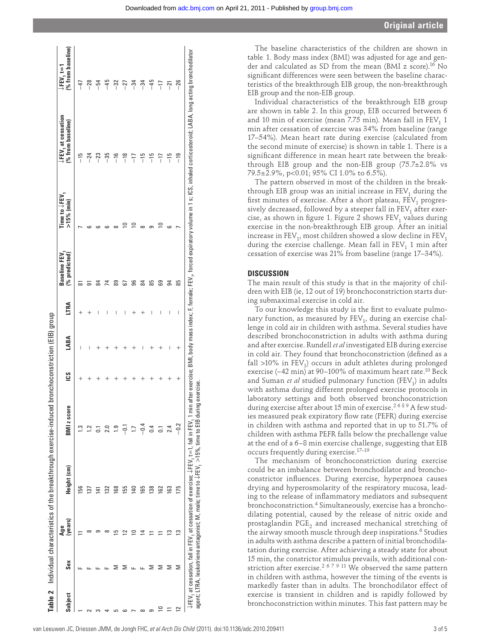|           |              |                | Table 2 Individual characteristics of the breakthrough exercise-induced                                          |                                                                                                   |     | bronchoconstriction (EIB) group  |             |                                           |                            |                                                                                                                                                       |                                  |
|-----------|--------------|----------------|------------------------------------------------------------------------------------------------------------------|---------------------------------------------------------------------------------------------------|-----|----------------------------------|-------------|-------------------------------------------|----------------------------|-------------------------------------------------------------------------------------------------------------------------------------------------------|----------------------------------|
| Subject   | $S_{\rm ex}$ | (years)<br>Age | Height (cm)                                                                                                      | <b>BMI</b> z score                                                                                | SJI | LABA                             | <b>LTRA</b> | $(%$ predicted $)$<br><b>Baseline FEV</b> | Time to ↓FEV<br>>15% (min) | ↓FEV, at cessation<br>% from baseline)                                                                                                                | ē<br>[% from baseli<br>↓FEV, t=1 |
|           |              |                |                                                                                                                  |                                                                                                   |     |                                  |             |                                           |                            |                                                                                                                                                       |                                  |
|           |              |                | 156                                                                                                              | ن<br>س                                                                                            |     | I                                |             |                                           |                            |                                                                                                                                                       | $-47$                            |
|           |              |                | 137                                                                                                              |                                                                                                   |     |                                  |             |                                           |                            | $^{-24}$                                                                                                                                              | $-28$                            |
|           |              |                | $\vec{r}$                                                                                                        |                                                                                                   |     |                                  | I           |                                           |                            | $^{-23}$                                                                                                                                              | $-54$                            |
|           |              |                | $\overline{32}$                                                                                                  | 2.0                                                                                               |     |                                  | I           | 4                                         |                            | $-35$                                                                                                                                                 | $-45$                            |
|           |              |                | 168                                                                                                              | ႝ                                                                                                 |     |                                  | I           |                                           |                            | $\frac{16}{1}$                                                                                                                                        | $-32$                            |
|           |              |                | 155                                                                                                              | 등<br>                                                                                             |     |                                  | I           |                                           |                            | $\frac{8}{1}$                                                                                                                                         | $-27$                            |
|           |              |                | 140                                                                                                              | ΓJ                                                                                                |     |                                  |             | ട്                                        |                            | $-17$                                                                                                                                                 | $-34$                            |
|           |              |                | 165                                                                                                              | $-0.4$                                                                                            |     | I                                |             |                                           |                            | $\frac{5}{1}$                                                                                                                                         | $-34$                            |
| 5         |              |                | 138                                                                                                              | 0.4                                                                                               |     |                                  | I           | 58                                        |                            | $\frac{15}{1}$                                                                                                                                        | $-45$                            |
| ₽         | ⋝            |                | 162                                                                                                              | $\overline{0}$                                                                                    |     |                                  | I           | යි                                        | $\circ$                    | $-17$                                                                                                                                                 | $-17$                            |
| 11        |              |                | 163                                                                                                              | 2.4                                                                                               |     | I                                | I           | 3                                         |                            | $\frac{15}{1}$                                                                                                                                        | កុ                               |
| $\approx$ | Σ            | ≌              | 175                                                                                                              | $-0.2$                                                                                            | ╇   | $\hspace{0.1mm} +\hspace{0.1mm}$ | I           | 85                                        |                            | $-19$                                                                                                                                                 | $-26$                            |
|           |              |                | $\downarrow$ FEV, at cessation, fall in FEV, at cessation of exercise; $\downarrow$ FEV, t=1, fall in FEV, 1 min | agent; LTRA, leukotriene antagonist; M, male; time to JFEV, $>$ 15%, time to EIB during exercise. |     |                                  |             |                                           |                            | after exercise; BMI, body mass index; F, female; FEV,, forced expiratory volume in 1 s; ICS, inhaled corticosteroid; LABA, long acting bronchodilator |                                  |

The baseline characteristics of the children are shown in table 1. Body mass index (BMI) was adjusted for age and gender and calculated as SD from the mean (BMI z score).<sup>16</sup> No significant differences were seen between the baseline characteristics of the breakthrough EIB group, the non-breakthrough EIB group and the non-EIB group.

Individual characteristics of the breakthrough EIB group are shown in table 2. In this group, EIB occurred between 6 and 10 min of exercise (mean 7.75 min). Mean fall in  $FEV<sub>1</sub>$  1 min after cessation of exercise was 34% from baseline (range 17–54%). Mean heart rate during exercise (calculated from the second minute of exercise) is shown in table 1. There is a significant difference in mean heart rate between the breakthrough EIB group and the non-EIB group (75.7±2.8% vs 79.5±2.9%, p<0.01; 95% CI 1.0% to 6.5%).

The pattern observed in most of the children in the breakthrough EIB group was an initial increase in  $FEV<sub>1</sub>$  during the first minutes of exercise. After a short plateau,  $\tilde{FEV}_1$  progressively decreased, followed by a steeper fall in  $FEV<sub>1</sub>$  after exercise, as shown in figure 1. Figure 2 shows  $FEV<sub>1</sub>$  values during exercise in the non-breakthrough EIB group. After an initial increase in  $FEV_1$ , most children showed a slow decline in  $FEV_1$ during the exercise challenge. Mean fall in  $FEV<sub>1</sub>$  1 min after cessation of exercise was 21% from baseline (range 17–34%).

### **DISCUSSION**

The main result of this study is that in the majority of children with EIB (ie, 12 out of 19) bronchoconstriction starts during submaximal exercise in cold air.

To our knowledge this study is the first to evaluate pulmonary function, as measured by  $FEV<sub>1</sub>$ , during an exercise challenge in cold air in children with asthma. Several studies have described bronchoconstriction in adults with asthma during and after exercise. Rundell *et al* investigated EIB during exercise in cold air. They found that bronchoconstriction (defined as a fall  $>10\%$  in FEV<sub>1</sub>) occurs in adult athletes during prolonged exercise  $(-42 \text{ min})$  at 90-100% of maximum heart rate.<sup>10</sup> Beck and Suman *et al* studied pulmonary function (FEV<sub>1</sub>) in adults with asthma during different prolonged exercise protocols in laboratory settings and both observed bronchoconstriction during exercise after about 15 min of exercise.<sup>2689</sup> A few studies measured peak expiratory flow rate (PEFR) during exercise in children with asthma and reported that in up to 51.7% of children with asthma PEFR falls below the prechallenge value at the end of a 6–8 min exercise challenge, suggesting that EIB occurs frequently during exercise.<sup>17-19</sup>

The mechanism of bronchoconstriction during exercise could be an imbalance between bronchodilator and bronchoconstrictor influences. During exercise, hyperpnoea causes drying and hyperosmolarity of the respiratory mucosa, leading to the release of inflammatory mediators and subsequent bronchoconstriction. 4 Simultaneously, exercise has a bronchodilating potential, caused by the release of nitric oxide and prostaglandin  $PGE<sub>2</sub>$  and increased mechanical stretching of the airway smooth muscle through deep inspirations. 6 Studies in adults with asthma describe a pattern of initial bronchodilatation during exercise. After achieving a steady state for about 15 min, the constrictor stimulus prevails, with additional constriction after exercise.<sup>267911</sup> We observed the same pattern in children with asthma, however the timing of the events is markedly faster than in adults. The bronchodilator effect of exercise is transient in children and is rapidly followed by bronchoconstriction within minutes. This fast pattern may be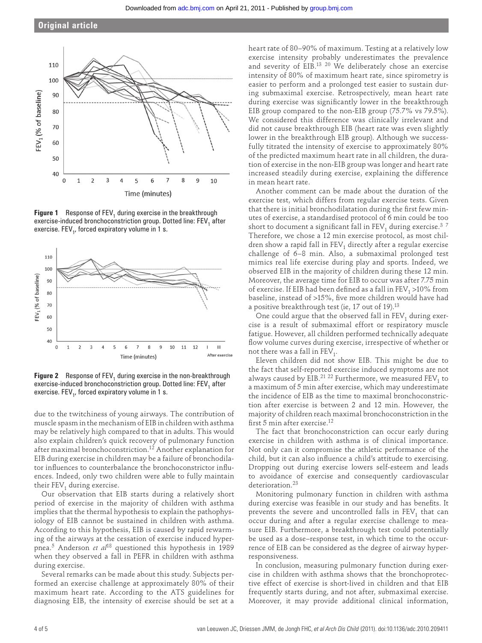# **Original article**



**Figure 1** Response of FEV<sub>1</sub> during exercise in the breakthrough exercise-induced bronchoconstriction group. Dotted line: FEV, after exercise.  $\mathsf{FEV}_{1}$ , forced expiratory volume in 1 s.



**Figure 2** Response of FEV<sub>1</sub> during exercise in the non-breakthrough exercise-induced bronchoconstriction group. Dotted line: FEV, after exercise.  $\mathsf{FEV}_{1}$ , forced expiratory volume in 1 s.

due to the twitchiness of young airways. The contribution of muscle spasm in the mechanism of EIB in children with asthma may be relatively high compared to that in adults. This would also explain children's quick recovery of pulmonary function after maximal bronchoconstriction. 12 Another explanation for EIB during exercise in children may be a failure of bronchodilator influences to counterbalance the bronchoconstrictor influences. Indeed, only two children were able to fully maintain their  $FEV_1$  during exercise.

Our observation that EIB starts during a relatively short period of exercise in the majority of children with asthma implies that the thermal hypothesis to explain the pathophysiology of EIB cannot be sustained in children with asthma. According to this hypothesis, EIB is caused by rapid rewarming of the airways at the cessation of exercise induced hyperpnea. 5 Anderson *et al*18 questioned this hypothesis in 1989 when they observed a fall in PEFR in children with asthma during exercise.

Several remarks can be made about this study. Subjects performed an exercise challenge at approximately 80% of their maximum heart rate. According to the ATS guidelines for diagnosing EIB, the intensity of exercise should be set at a heart rate of 80–90% of maximum. Testing at a relatively low exercise intensity probably underestimates the prevalence and severity of EIB.<sup>13 20</sup> We deliberately chose an exercise intensity of 80% of maximum heart rate, since spirometry is easier to perform and a prolonged test easier to sustain during submaximal exercise. Retrospectively, mean heart rate during exercise was significantly lower in the breakthrough EIB group compared to the non-EIB group (75.7% vs 79.5%). We considered this difference was clinically irrelevant and did not cause breakthrough EIB (heart rate was even slightly lower in the breakthrough EIB group). Although we successfully titrated the intensity of exercise to approximately 80% of the predicted maximum heart rate in all children, the duration of exercise in the non-EIB group was longer and heart rate increased steadily during exercise, explaining the difference in mean heart rate.

Another comment can be made about the duration of the exercise test, which differs from regular exercise tests. Given that there is initial bronchodilatation during the first few minutes of exercise, a standardised protocol of 6 min could be too short to document a significant fall in  $FEV<sub>1</sub>$  during exercise.<sup>37</sup> Therefore, we chose a 12 min exercise protocol, as most children show a rapid fall in  $FEV<sub>1</sub>$  directly after a regular exercise challenge of 6–8 min. Also, a submaximal prolonged test mimics real life exercise during play and sports. Indeed, we observed EIB in the majority of children during these 12 min. Moreover, the average time for EIB to occur was after 7.75 min of exercise. If EIB had been defined as a fall in  $FEV<sub>1</sub> > 10\%$  from baseline, instead of >15%, five more children would have had a positive breakthrough test (ie, 17 out of 19).<sup>13</sup>

One could argue that the observed fall in  $FEV<sub>1</sub>$  during exercise is a result of submaximal effort or respiratory muscle fatigue. However, all children performed technically adequate flow volume curves during exercise, irrespective of whether or not there was a fall in  $\text{FEV}_1$ .

Eleven children did not show EIB. This might be due to the fact that self-reported exercise induced symptoms are not always caused by EIB.<sup>21</sup> <sup>22</sup> Furthermore, we measured  $\text{FEV}_1$  to a maximum of 5 min after exercise, which may underestimate the incidence of EIB as the time to maximal bronchoconstriction after exercise is between 2 and 12 min. However, the majority of children reach maximal bronchoconstriction in the first 5 min after exercise.<sup>12</sup>

The fact that bronchoconstriction can occur early during exercise in children with asthma is of clinical importance. Not only can it compromise the athletic performance of the child, but it can also influence a child's attitude to exercising. Dropping out during exercise lowers self-esteem and leads to avoidance of exercise and consequently cardiovascular deterioration.<sup>23</sup>

Monitoring pulmonary function in children with asthma during exercise was feasible in our study and has benefits. It prevents the severe and uncontrolled falls in  $FEV<sub>1</sub>$  that can occur during and after a regular exercise challenge to measure EIB. Furthermore, a breakthrough test could potentially be used as a dose–response test, in which time to the occurrence of EIB can be considered as the degree of airway hyperresponsiveness.

In conclusion, measuring pulmonary function during exercise in children with asthma shows that the bronchoprotective effect of exercise is short-lived in children and that EIB frequently starts during, and not after, submaximal exercise. Moreover, it may provide additional clinical information,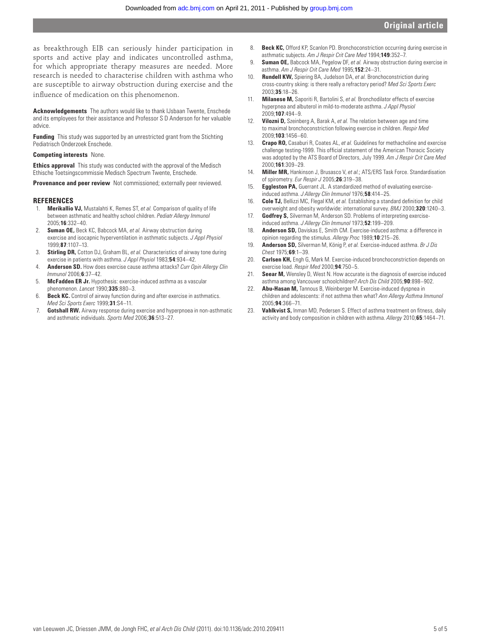as breakthrough EIB can seriously hinder participation in sports and active play and indicates uncontrolled asthma, for which appropriate therapy measures are needed. More research is needed to characterise children with asthma who are susceptible to airway obstruction during exercise and the influence of medication on this phenomenon.

 **Acknowledgements** The authors would like to thank IJsbaan Twente, Enschede and its employees for their assistance and Professor S D Anderson for her valuable advice.

**Funding** This study was supported by an unrestricted grant from the Stichting Pediatrisch Onderzoek Enschede.

#### **Competing interests** None.

 **Ethics approval** This study was conducted with the approval of the Medisch Ethische Toetsingscommissie Medisch Spectrum Twente, Enschede.

**Provenance and peer review** Not commissioned; externally peer reviewed.

#### **REFERENCES**

- 1. **Merikallio VJ,** Mustalahti K, Remes ST, *et al.* Comparison of quality of life between asthmatic and healthy school children. *Pediatr Allergy Immunol* 2005 ; **16** : 332 – 40 .
- 2. **Suman OE,** Beck KC, Babcock MA, *et al.* Airway obstruction during exercise and isocapnic hyperventilation in asthmatic subjects. *J Appl Physiol* 1999 ; **87** : 1107 – 13 .
- 3. **Stirling DR,** Cotton DJ, Graham BL, *et al.* Characteristics of airway tone during exercise in patients with asthma. *J Appl Physiol* 1983;54:934-42.
- 4. **Anderson SD.** How does exercise cause asthma attacks? *Curr Opin Allergy Clin Immunol* 2006 ; **6** : 37 – 42 .
- 5. **McFadden ER Jr.** Hypothesis: exercise-induced asthma as a vascular phenomenon. *Lancet* 1990; **335**: 880-3.
- 6. **Beck KC.** Control of airway function during and after exercise in asthmatics. *Med Sci Sports Exerc* 1999 ; **31** : S4 – 11 .
- 7. **Gotshall RW.** Airway response during exercise and hyperpnoea in non-asthmatic and asthmatic individuals. *Sports Med* 2006;36:513-27.
- 8. **Beck KC,** Offord KP, Scanlon PD. Bronchoconstriction occurring during exercise in asthmatic subjects. Am J Respir Crit Care Med 1994;149:352-7.
- 9. **Suman OE,** Babcock MA, Pegelow DF, *et al.* Airway obstruction during exercise in asthma. *Am J Respir Crit Care Med* 1995 ; **152** : 24 – 31 .
- 10. **Rundell KW,** Spiering BA, Judelson DA, *et al.* Bronchoconstriction during cross-country skiing: is there really a refractory period? *Med Sci Sports Exerc* 2003 ; **35** : 18 – 26 .
- 11. **Milanese M,** Saporiti R, Bartolini S, *et al.* Bronchodilator effects of exercise hyperpnea and albuterol in mild-to-moderate asthma. *J Appl Physiol* 2009 ; **107** : 494 – 9 .
- 12. **Vilozni D,** Szeinberg A, Barak A, *et al.* The relation between age and time to maximal bronchoconstriction following exercise in children. *Respir Med* 2009 ; **103** : 1456 – 60 .
- 13. **Crapo RO,** Casaburi R, Coates AL, *et al.* Guidelines for methacholine and exercise challenge testing-1999. This official statement of the American Thoracic Society was adopted by the ATS Board of Directors, July 1999. *Am J Respir Crit Care Med* 2000 ; **161** : 309 – 29 .
- 14. **Miller MR,** Hankinson J, Brusasco V, *et al.* ; ATS/ERS Task Force . Standardisation of spirometry. *Eur Respir J* 2005 ; **26** : 319 – 38 .
- 15. **Eggleston PA,** Guerrant JL. A standardized method of evaluating exerciseinduced asthma. *J Allergy Clin Immunol* 1976;58:414-25.
- 16. **Cole TJ,** Bellizzi MC, Flegal KM, et al. Establishing a standard definition for child overweight and obesity worldwide: international survey. *BMJ* 2000;320:1240-3.
- 17. **Godfrey S,** Silverman M, Anderson SD. Problems of interpreting exerciseinduced asthma. *J Allergy Clin Immunol* 1973 ; **52** : 199 – 209 .
- 18. **Anderson SD,** Daviskas E, Smith CM. Exercise-induced asthma: a difference in opinion regarding the stimulus. Allergy Proc 1989;10:215-26.
- 19. **Anderson SD,** Silverman M, König P, *et al.* Exercise-induced asthma. *Br J Dis Chest* 1975 ; **69** : 1 – 39 .
- 20. **Carlsen KH,** Engh G, Mørk M. Exercise-induced bronchoconstriction depends on exercise load. *Respir Med* 2000 ; **94** : 750 – 5 .
- 21. **Seear M,** Wensley D, West N. How accurate is the diagnosis of exercise induced asthma among Vancouver schoolchildren? *Arch Dis Child* 2005 ; **90** : 898 – 902 .
- 22. **Abu-Hasan M,** Tannous B, Weinberger M. Exercise-induced dyspnea in children and adolescents: if not asthma then what? *Ann Allergy Asthma Immunol* 2005 ; **94** : 366 – 71 .
- 23. **Vahlkvist S,** Inman MD, Pedersen S. Effect of asthma treatment on fitness, daily activity and body composition in children with asthma. *Allergy* 2010;65:1464-71.